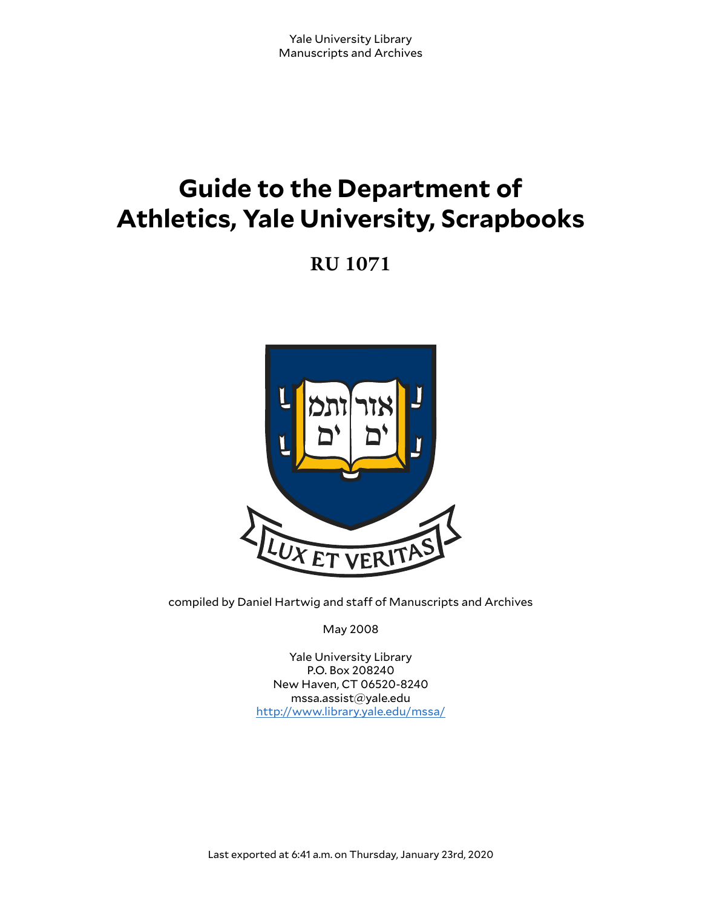# **Guide to the Department of Athletics, Yale University, Scrapbooks**

**RU 1071**



compiled by Daniel Hartwig and staff of Manuscripts and Archives

May 2008

Yale University Library P.O. Box 208240 New Haven, CT 06520-8240 mssa.assist@yale.edu <http://www.library.yale.edu/mssa/>

Last exported at 6:41 a.m. on Thursday, January 23rd, 2020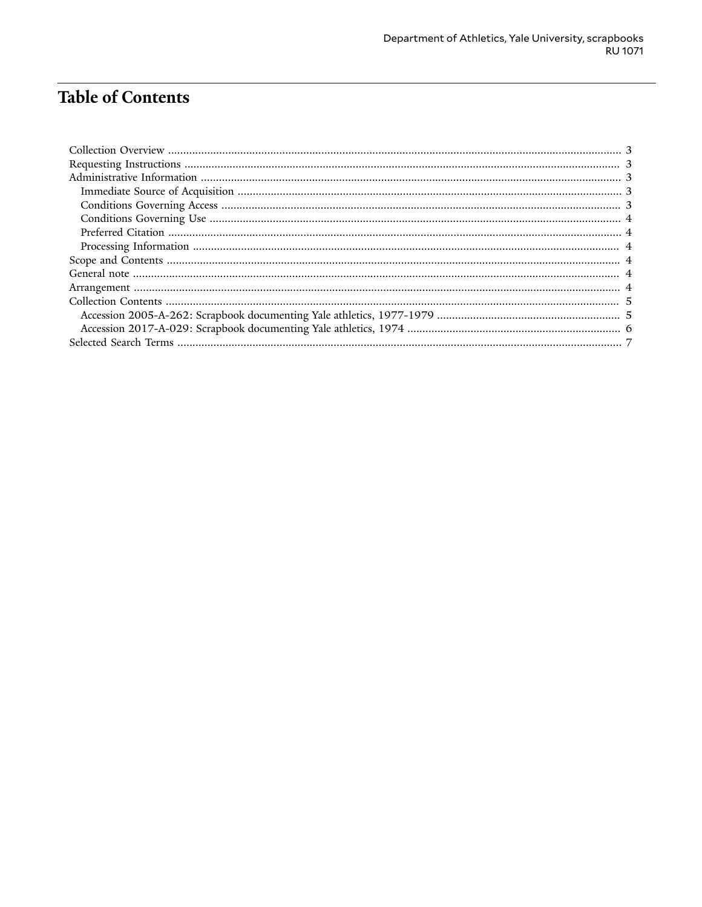# **Table of Contents**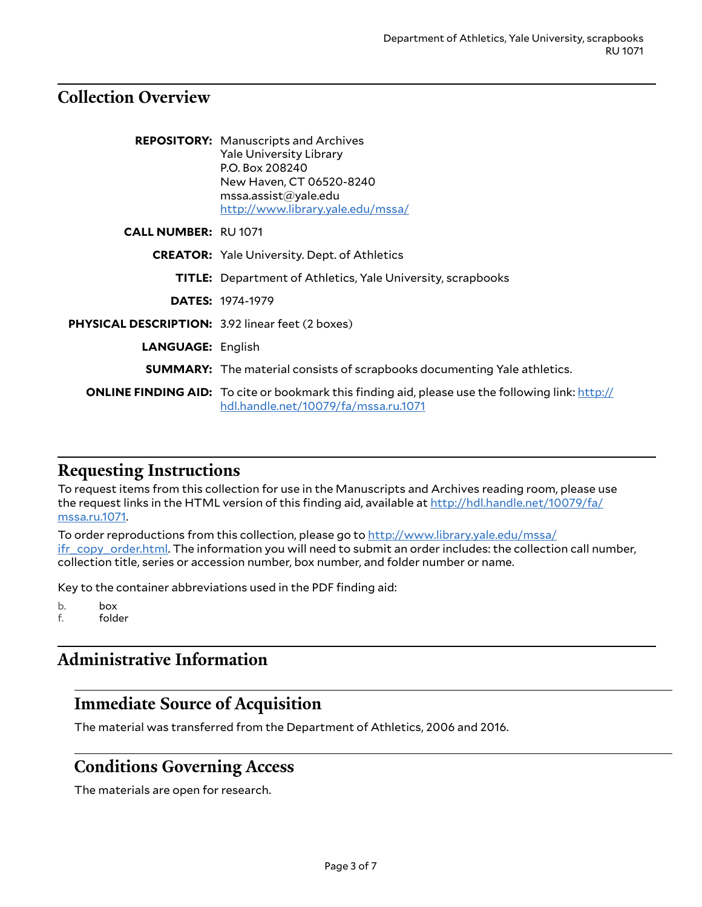### <span id="page-2-0"></span>**Collection Overview**

|                                                  | <b>REPOSITORY:</b> Manuscripts and Archives<br><b>Yale University Library</b><br>P.O. Box 208240<br>New Haven, CT 06520-8240<br>msa. assist@yale.edu<br>http://www.library.yale.edu/mssa/ |
|--------------------------------------------------|-------------------------------------------------------------------------------------------------------------------------------------------------------------------------------------------|
| <b>CALL NUMBER: RU1071</b>                       |                                                                                                                                                                                           |
|                                                  | <b>CREATOR:</b> Yale University. Dept. of Athletics                                                                                                                                       |
|                                                  | <b>TITLE:</b> Department of Athletics, Yale University, scrapbooks                                                                                                                        |
|                                                  | <b>DATES: 1974-1979</b>                                                                                                                                                                   |
| PHYSICAL DESCRIPTION: 3.92 linear feet (2 boxes) |                                                                                                                                                                                           |
| <b>LANGUAGE: English</b>                         |                                                                                                                                                                                           |
|                                                  | <b>SUMMARY:</b> The material consists of scrapbooks documenting Yale athletics.                                                                                                           |
|                                                  | <b>ONLINE FINDING AID:</b> To cite or bookmark this finding aid, please use the following link: http://<br>hdl.handle.net/10079/fa/mssa.ru.1071                                           |

#### <span id="page-2-1"></span>**Requesting Instructions**

To request items from this collection for use in the Manuscripts and Archives reading room, please use the request links in the HTML version of this finding aid, available at [http://hdl.handle.net/10079/fa/](http://hdl.handle.net/10079/fa/mssa.ru.1071) [mssa.ru.1071](http://hdl.handle.net/10079/fa/mssa.ru.1071).

To order reproductions from this collection, please go to [http://www.library.yale.edu/mssa/](http://www.library.yale.edu/mssa/ifr_copy_order.html) [ifr\\_copy\\_order.html.](http://www.library.yale.edu/mssa/ifr_copy_order.html) The information you will need to submit an order includes: the collection call number, collection title, series or accession number, box number, and folder number or name.

Key to the container abbreviations used in the PDF finding aid:

b. box

f. folder

# <span id="page-2-2"></span>**Administrative Information**

# <span id="page-2-3"></span>**Immediate Source of Acquisition**

The material was transferred from the Department of Athletics, 2006 and 2016.

#### <span id="page-2-4"></span>**Conditions Governing Access**

The materials are open for research.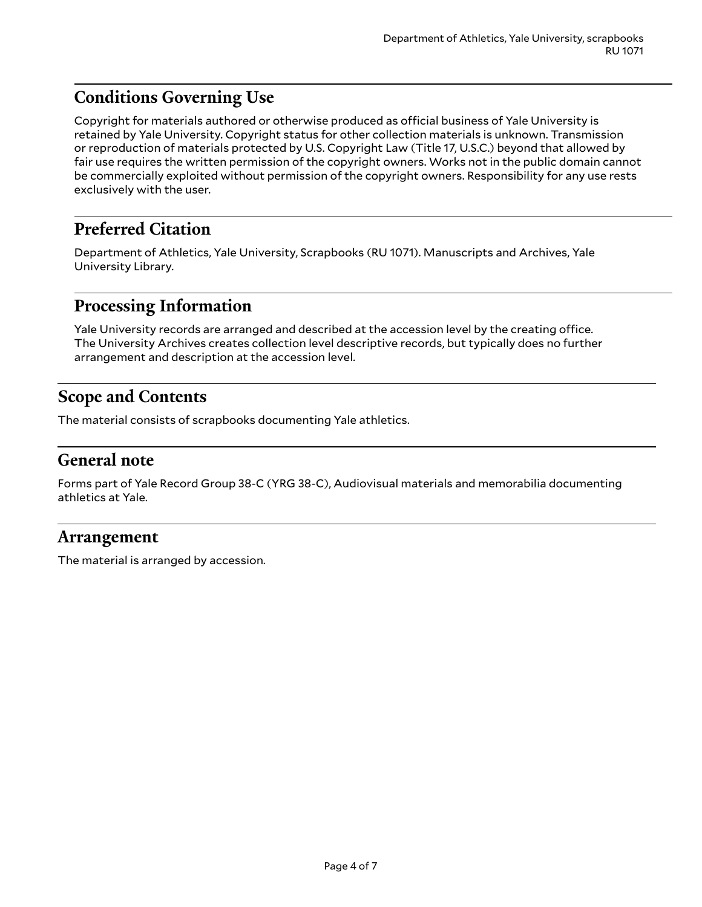# <span id="page-3-0"></span>**Conditions Governing Use**

Copyright for materials authored or otherwise produced as official business of Yale University is retained by Yale University. Copyright status for other collection materials is unknown. Transmission or reproduction of materials protected by U.S. Copyright Law (Title 17, U.S.C.) beyond that allowed by fair use requires the written permission of the copyright owners. Works not in the public domain cannot be commercially exploited without permission of the copyright owners. Responsibility for any use rests exclusively with the user.

## <span id="page-3-1"></span>**Preferred Citation**

Department of Athletics, Yale University, Scrapbooks (RU 1071). Manuscripts and Archives, Yale University Library.

#### <span id="page-3-2"></span>**Processing Information**

Yale University records are arranged and described at the accession level by the creating office. The University Archives creates collection level descriptive records, but typically does no further arrangement and description at the accession level.

## <span id="page-3-3"></span>**Scope and Contents**

The material consists of scrapbooks documenting Yale athletics.

#### <span id="page-3-4"></span>**General note**

Forms part of Yale Record Group 38-C (YRG 38-C), Audiovisual materials and memorabilia documenting athletics at Yale.

#### <span id="page-3-5"></span>**Arrangement**

The material is arranged by accession.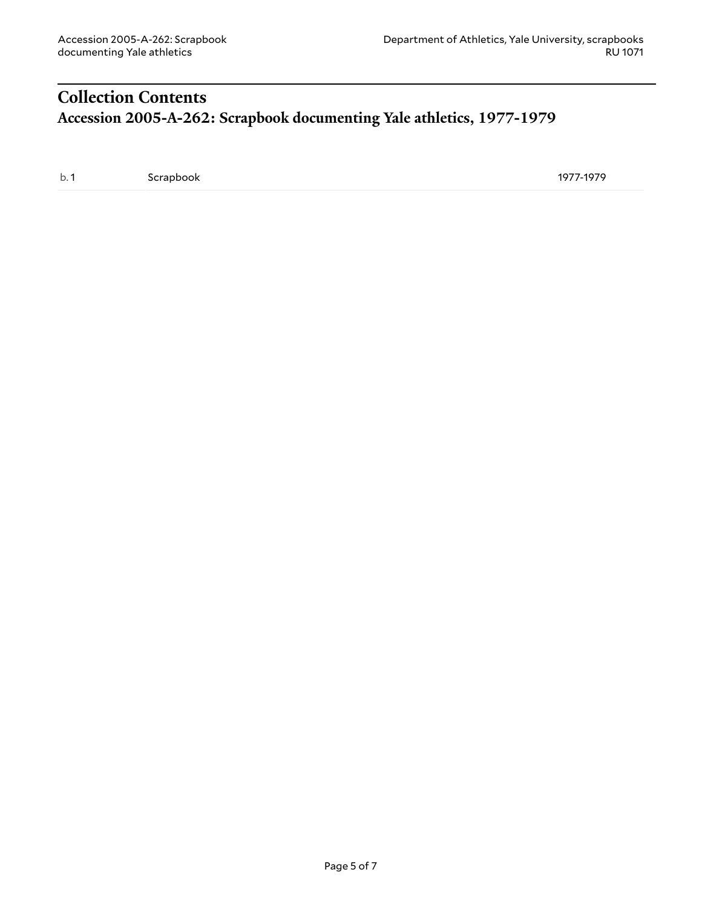# <span id="page-4-1"></span><span id="page-4-0"></span>**Collection Contents Accession 2005-A-262: Scrapbook documenting Yale athletics, 1977-1979**

b. 1 Scrapbook **1977-1979**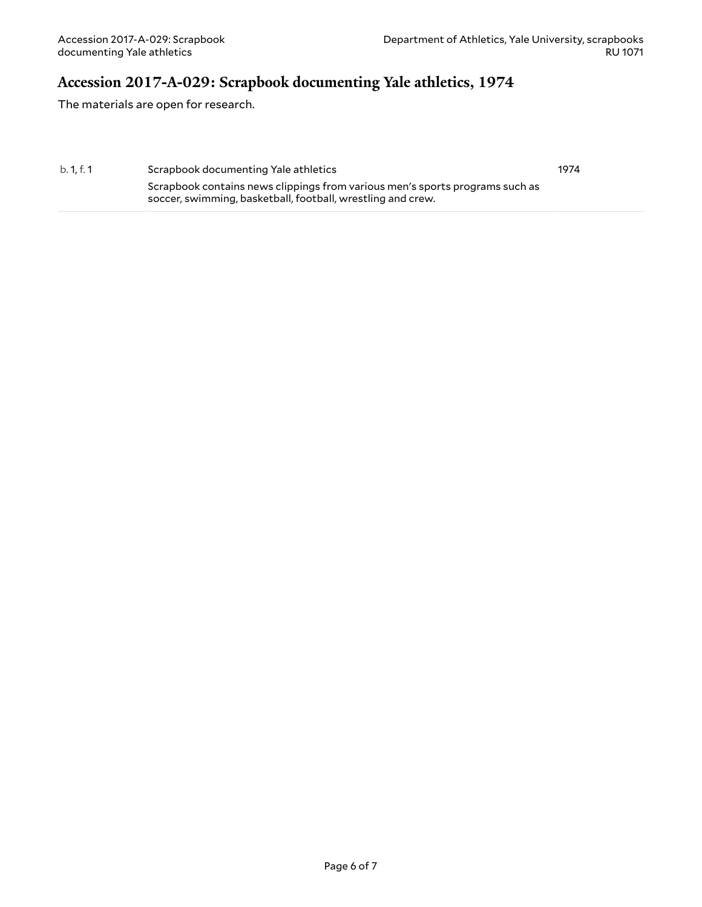1974

#### <span id="page-5-0"></span>**Accession 2017-A-029: Scrapbook documenting Yale athletics, 1974**

The materials are open for research.

b. 1, f. 1 Scrapbook documenting Yale athletics Scrapbook contains news clippings from various men's sports programs such as soccer, swimming, basketball, football, wrestling and crew.